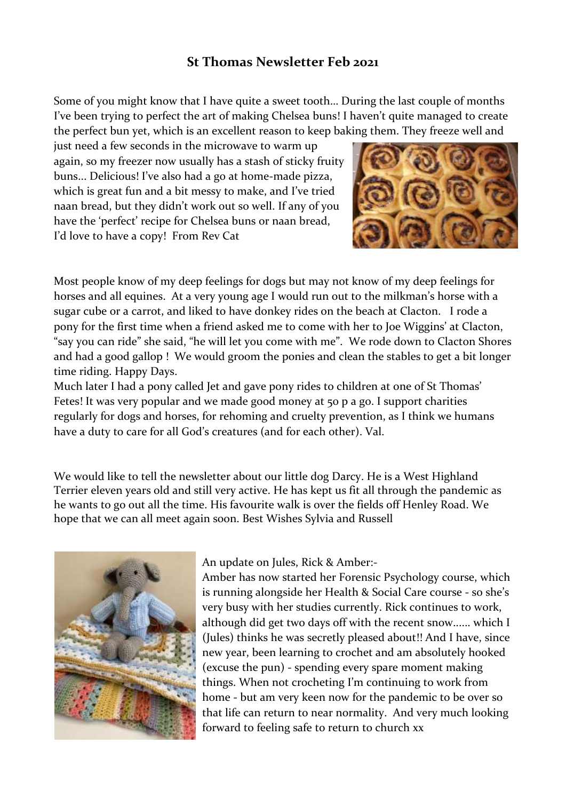## **St Thomas Newsletter Feb 2021**

Some of you might know that I have quite a sweet tooth… During the last couple of months I've been trying to perfect the art of making Chelsea buns! I haven't quite managed to create the perfect bun yet, which is an excellent reason to keep baking them. They freeze well and

just need a few seconds in the microwave to warm up again, so my freezer now usually has a stash of sticky fruity buns... Delicious! I've also had a go at home-made pizza, which is great fun and a bit messy to make, and I've tried naan bread, but they didn't work out so well. If any of you have the 'perfect' recipe for Chelsea buns or naan bread, I'd love to have a copy! From Rev Cat



Most people know of my deep feelings for dogs but may not know of my deep feelings for horses and all equines. At a very young age I would run out to the milkman's horse with a sugar cube or a carrot, and liked to have donkey rides on the beach at Clacton. I rode a pony for the first time when a friend asked me to come with her to Joe Wiggins' at Clacton, "say you can ride" she said, "he will let you come with me". We rode down to Clacton Shores and had a good gallop ! We would groom the ponies and clean the stables to get a bit longer time riding. Happy Days.

Much later I had a pony called Jet and gave pony rides to children at one of St Thomas' Fetes! It was very popular and we made good money at 50 p a go. I support charities regularly for dogs and horses, for rehoming and cruelty prevention, as I think we humans have a duty to care for all God's creatures (and for each other). Val.

We would like to tell the newsletter about our little dog Darcy. He is a West Highland Terrier eleven years old and still very active. He has kept us fit all through the pandemic as he wants to go out all the time. His favourite walk is over the fields off Henley Road. We hope that we can all meet again soon. Best Wishes Sylvia and Russell



## An update on Jules, Rick & Amber:-

Amber has now started her Forensic Psychology course, which is running alongside her Health & Social Care course - so she's very busy with her studies currently. Rick continues to work, although did get two days off with the recent snow...... which I (Jules) thinks he was secretly pleased about!! And I have, since new year, been learning to crochet and am absolutely hooked (excuse the pun) - spending every spare moment making things. When not crocheting I'm continuing to work from home - but am very keen now for the pandemic to be over so that life can return to near normality. And very much looking forward to feeling safe to return to church xx